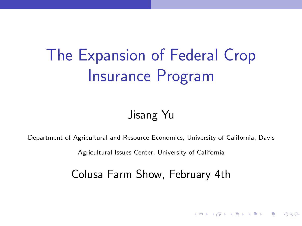# The Expansion of Federal Crop Insurance Program

#### Jisang Yu

<span id="page-0-0"></span>Department of Agricultural and Resource Economics, University of California, Davis

Agricultural Issues Center, University of California

Colusa Farm Show, February 4th

**KORKAR KERKER E VOOR**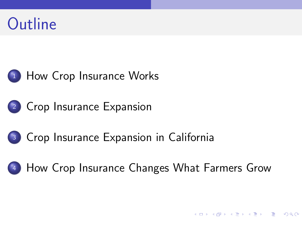



[Crop Insurance Expansion](#page-9-0)

#### [Crop Insurance Expansion in California](#page-14-0)

#### [How Crop Insurance Changes What Farmers Grow](#page-20-0)

K ロ ▶ K @ ▶ K 할 > K 할 > → 할 → 9 Q @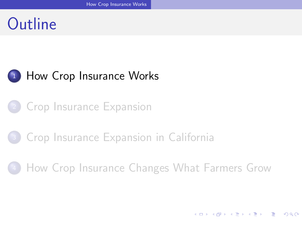### Outline

#### <sup>1</sup> [How Crop Insurance Works](#page-2-0)

**[Crop Insurance Expansion](#page-9-0)** 

#### <sup>3</sup> [Crop Insurance Expansion in California](#page-14-0)

<span id="page-2-0"></span><sup>4</sup> [How Crop Insurance Changes What Farmers Grow](#page-20-0)

**K ロ ▶ | K 母 ▶ | K ヨ ▶ | K ヨ ▶ |**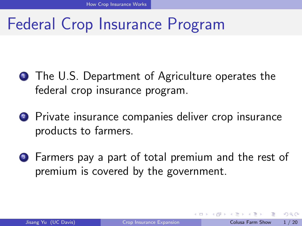### Federal Crop Insurance Program

- **1** The U.S. Department of Agriculture operates the federal crop insurance program.
- <sup>2</sup> Private insurance companies deliver crop insurance products to farmers.
- <sup>3</sup> Farmers pay a part of total premium and the rest of premium is covered by the government.

<span id="page-3-0"></span>4 0 8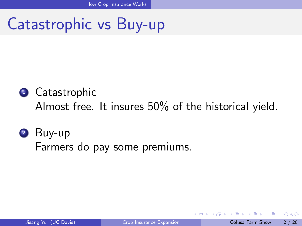### Catastrophic vs Buy-up

#### <sup>1</sup> Catastrophic Almost free. It insures 50% of the historical yield.

#### <sup>2</sup> Buy-up Farmers do pay some premiums.

4 0 8

<span id="page-4-0"></span> $\Omega$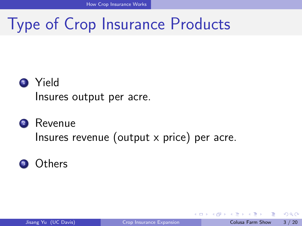### Type of Crop Insurance Products

#### <sup>1</sup> Yield Insures output per acre.

#### <sup>2</sup> Revenue Insures revenue (output x price) per acre.



4 0 8

<span id="page-5-0"></span> $\Omega$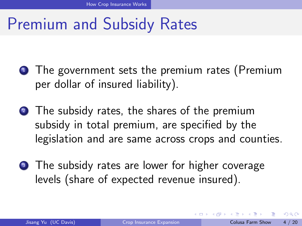### Premium and Subsidy Rates

- **1** The government sets the premium rates (Premium per dollar of insured liability).
- 2 The subsidy rates, the shares of the premium subsidy in total premium, are specified by the legislation and are same across crops and counties.
- **3** The subsidy rates are lower for higher coverage levels (share of expected revenue insured).

<span id="page-6-0"></span>4 0 8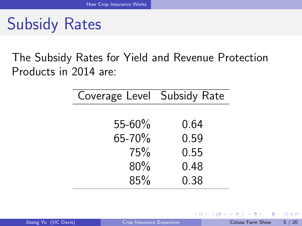Subsidy Rates

The Subsidy Rates for Yield and Revenue Protection Products in 2014 are:

| Coverage Level Subsidy Rate |      |
|-----------------------------|------|
|                             |      |
| $55 - 60\%$                 | 0.64 |
| 65-70%                      | 0.59 |
| 75%                         | 0.55 |
| 80%                         | 0.48 |
| 85%                         | 0.38 |

4 0 8

同→

 $\sim$ 

<span id="page-7-0"></span> $QQ$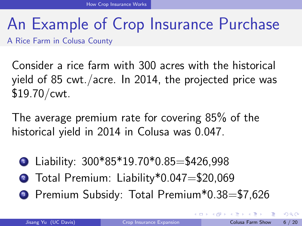# An Example of Crop Insurance Purchase

A Rice Farm in Colusa County

Consider a rice farm with 300 acres with the historical yield of 85 cwt./acre. In 2014, the projected price was \$19.70/cwt.

The average premium rate for covering 85% of the historical yield in 2014 in Colusa was 0.047.

- $\bullet$  Liability: 300\*85\*19.70\*0.85=\$426,998
- 2 Total Premium: Liability\*0.047=\$20,069
- **3** Premium Subsidy: Total Premium\*0.38=\$7.626

<span id="page-8-0"></span> $\Omega$ 

**The South Book** 

**∢ ロ ▶ - ィ <sub>ロ</sub> ▶** - ィ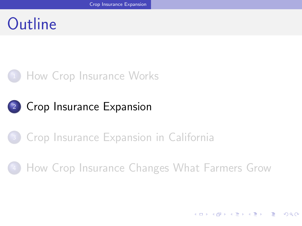### Outline

#### **[How Crop Insurance Works](#page-2-0)**

#### <sup>2</sup> [Crop Insurance Expansion](#page-9-0)

#### <sup>3</sup> [Crop Insurance Expansion in California](#page-14-0)

#### <span id="page-9-0"></span><sup>4</sup> [How Crop Insurance Changes What Farmers Grow](#page-20-0)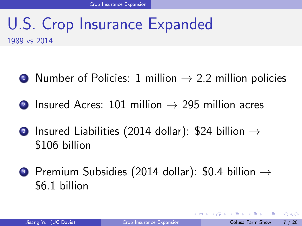#### U.S. Crop Insurance Expanded 1989 vs 2014

- $\bullet$  Number of Policies: 1 million  $\rightarrow$  2.2 million policies
- 2 Insured Acres: 101 million  $\rightarrow$  295 million acres
- Insured Liabilities (2014 dollar): \$24 billion  $\rightarrow$ \$106 billion
- $\bigoplus$  Premium Subsidies (2014 dollar): \$0.4 billion  $\rightarrow$ \$6.1 billion

<span id="page-10-0"></span> $\Omega$ 

イロト イ押ト イヨト イヨト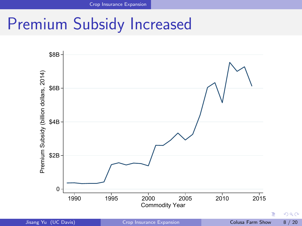### Premium Subsidy Increased



<span id="page-11-0"></span>

Jisang Yu (UC Davis) [Crop Insurance Expansion](#page-0-0) Colusa Farm Show 8 / 20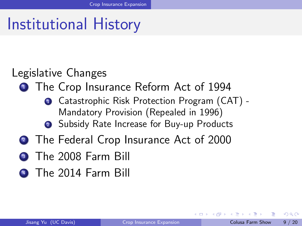### Institutional History

#### Legislative Changes

- **1** The Crop Insurance Reform Act of 1994
	- **1** Catastrophic Risk Protection Program (CAT) -Mandatory Provision (Repealed in 1996)
	- 2 Subsidy Rate Increase for Buy-up Products
- 2 The Federal Crop Insurance Act of 2000
- **3** The 2008 Farm Bill
- <span id="page-12-0"></span>**4 The 2014 Farm Bill**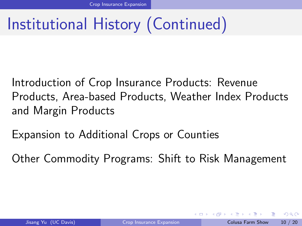# Institutional History (Continued)

Introduction of Crop Insurance Products: Revenue Products, Area-based Products, Weather Index Products and Margin Products

Expansion to Additional Crops or Counties

<span id="page-13-0"></span>Other Commodity Programs: Shift to Risk Management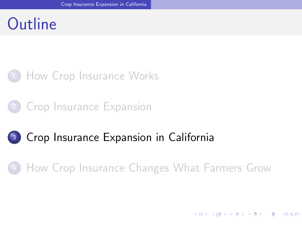### Outline

#### **[How Crop Insurance Works](#page-2-0)**

**[Crop Insurance Expansion](#page-9-0)** 

#### <sup>3</sup> [Crop Insurance Expansion in California](#page-14-0)

<span id="page-14-0"></span><sup>4</sup> [How Crop Insurance Changes What Farmers Grow](#page-20-0)

**K ロ ▶ | K 母 ▶ | K ヨ ▶ | K ヨ ▶ |** 

 $\Omega$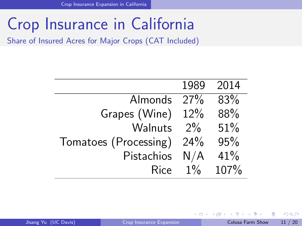## Crop Insurance in California

Share of Insured Acres for Major Crops (CAT Included)

|                       | 1989  | 2014 |
|-----------------------|-------|------|
| Almonds               | 27%   | 83%  |
| Grapes (Wine)         | 12%   | 88%  |
| Walnuts               | $2\%$ | 51%  |
| Tomatoes (Processing) | 24%   | 95%  |
| Pistachios            | N/A   | 41%  |
| Rice                  | $1\%$ | 107% |

4 0 8 1

画

 $\mathcal{A} \cap \mathbb{P} \rightarrow \mathcal{A} \supseteq \mathcal{A} \rightarrow \mathcal{A} \supseteq \mathcal{A}$ 

<span id="page-15-0"></span> $QQ$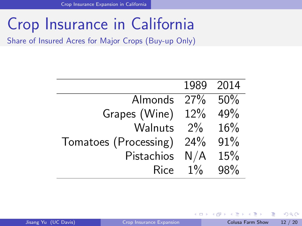## Crop Insurance in California

Share of Insured Acres for Major Crops (Buy-up Only)

|                       |       | 1989 2014 |
|-----------------------|-------|-----------|
| Almonds               | 27%   | 50%       |
| Grapes (Wine)         | 12%   | 49%       |
| Walnuts               | $2\%$ | 16%       |
| Tomatoes (Processing) | 24%   | 91%       |
| Pistachios            | N/A   | 15%       |
| <b>Rice</b>           | $1\%$ | 98%       |

<span id="page-16-0"></span>画

イロト イ押ト イヨト イヨト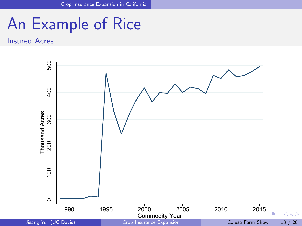### An Example of Rice

Insured Acres

<span id="page-17-0"></span>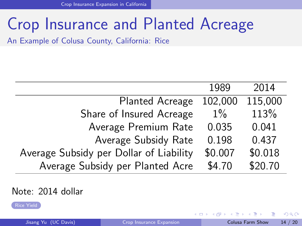### Crop Insurance and Planted Acreage

<span id="page-18-1"></span>An Example of Colusa County, California: Rice

|                                         | 1989    | 2014    |
|-----------------------------------------|---------|---------|
| <b>Planted Acreage</b>                  | 102,000 | 115,000 |
| Share of Insured Acreage                | $1\%$   | 113%    |
| Average Premium Rate                    | 0.035   | 0.041   |
| Average Subsidy Rate                    | 0.198   | 0.437   |
| Average Subsidy per Dollar of Liability | \$0.007 | \$0.018 |
| Average Subsidy per Planted Acre        | \$4.70  | \$20.70 |

#### Note: 2014 dollar

[Rice Yield](#page-28-0)

<span id="page-18-0"></span> $QQ$ 

**母 → → ヨ →** 

4 0 8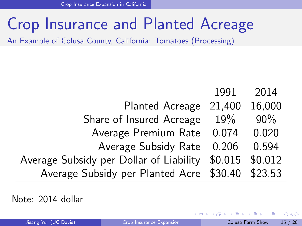### Crop Insurance and Planted Acreage

An Example of Colusa County, California: Tomatoes (Processing)

|                                                         | 1991   | 2014   |
|---------------------------------------------------------|--------|--------|
| <b>Planted Acreage</b>                                  | 21,400 | 16,000 |
| Share of Insured Acreage                                | 19%    | 90%    |
| Average Premium Rate                                    | 0.074  | 0.020  |
| Average Subsidy Rate                                    | 0.206  | 0.594  |
| Average Subsidy per Dollar of Liability \$0.015 \$0.012 |        |        |
| Average Subsidy per Planted Acre \$30.40 \$23.53        |        |        |

Note: 2014 dollar

4 0 8

**TELES** 

<span id="page-19-0"></span> $QQ$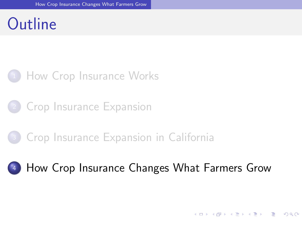### Outline

#### **[How Crop Insurance Works](#page-2-0)**

**[Crop Insurance Expansion](#page-9-0)** 

#### <sup>3</sup> [Crop Insurance Expansion in California](#page-14-0)

#### <span id="page-20-0"></span><sup>4</sup> [How Crop Insurance Changes What Farmers Grow](#page-20-0)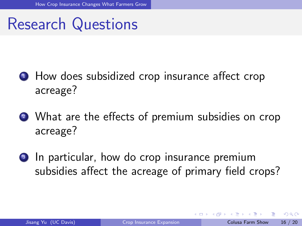### Research Questions

- **1** How does subsidized crop insurance affect crop acreage?
- 2 What are the effects of premium subsidies on crop acreage?
- <sup>3</sup> In particular, how do crop insurance premium subsidies affect the acreage of primary field crops?

<span id="page-21-0"></span>4 0 8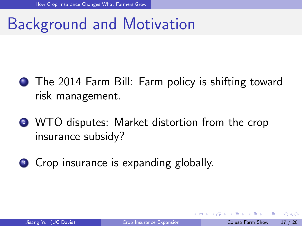### Background and Motivation

- **1** The 2014 Farm Bill: Farm policy is shifting toward risk management.
- 2 WTO disputes: Market distortion from the crop insurance subsidy?
- <span id="page-22-0"></span>**3** Crop insurance is expanding globally.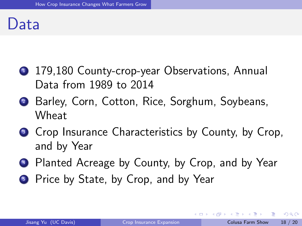#### Data

- <sup>1</sup> 179,180 County-crop-year Observations, Annual Data from 1989 to 2014
- <sup>2</sup> Barley, Corn, Cotton, Rice, Sorghum, Soybeans, Wheat
- <sup>3</sup> Crop Insurance Characteristics by County, by Crop, and by Year
- <sup>4</sup> Planted Acreage by County, by Crop, and by Year
- **5** Price by State, by Crop, and by Year

<span id="page-23-0"></span> $200$ 

ヨメ メラメ

**∢ ロ ▶ - ィ <sub>ロ</sub> ▶** - ィ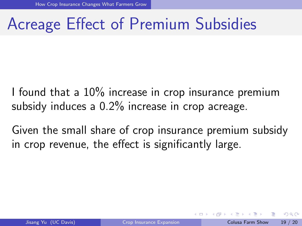### Acreage Effect of Premium Subsidies

I found that a 10% increase in crop insurance premium subsidy induces a 0.2% increase in crop acreage.

<span id="page-24-0"></span>Given the small share of crop insurance premium subsidy in crop revenue, the effect is significantly large.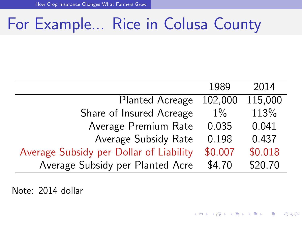### For Example... Rice in Colusa County

|                                         | 1989    | 2014    |
|-----------------------------------------|---------|---------|
| <b>Planted Acreage</b>                  | 102,000 | 115,000 |
| Share of Insured Acreage                | $1\%$   | 113%    |
| Average Premium Rate                    | 0.035   | 0.041   |
| Average Subsidy Rate                    | 0.198   | 0.437   |
| Average Subsidy per Dollar of Liability | \$0.007 | \$0.018 |
| Average Subsidy per Planted Acre        | \$4.70  | \$20.70 |

<span id="page-25-0"></span>Note: 2014 dollar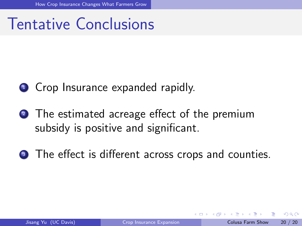### Tentative Conclusions

#### **1** Crop Insurance expanded rapidly.

- <sup>2</sup> The estimated acreage effect of the premium subsidy is positive and significant.
- <span id="page-26-0"></span><sup>3</sup> The effect is different across crops and counties.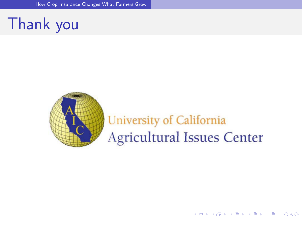## Thank you

<span id="page-27-0"></span>

### University of California **Agricultural Issues Center**

イロト 不優 ト 不重 ト 不重 トー

画

 $QQ$